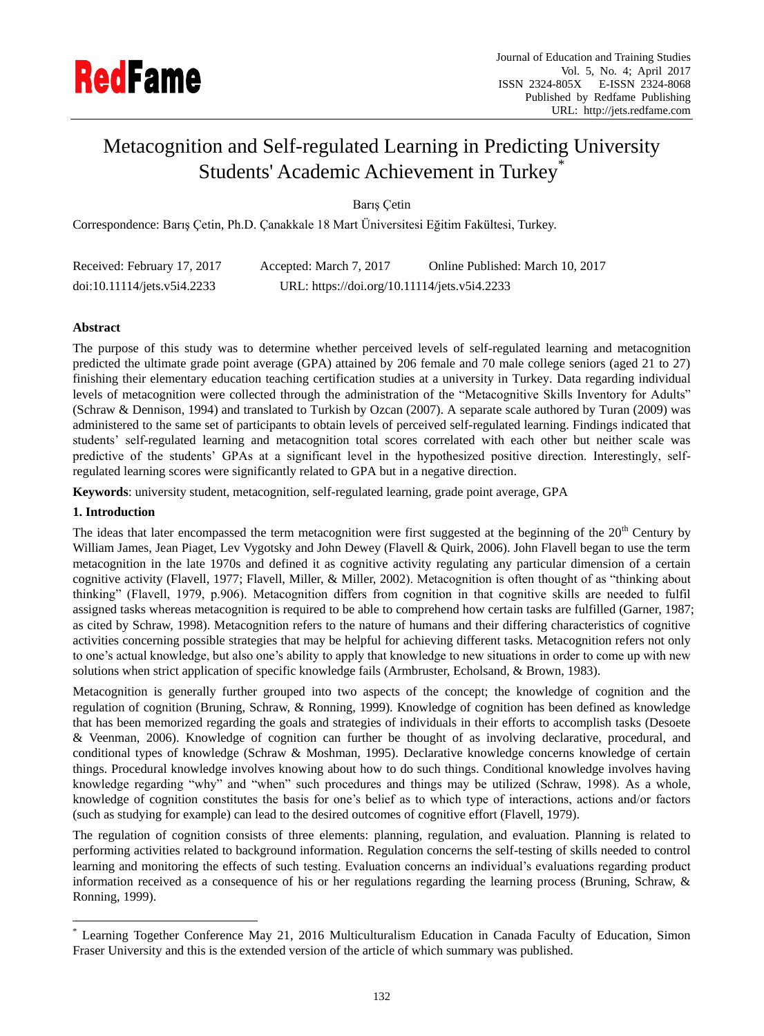

# Metacognition and Self-regulated Learning in Predicting University Students' Academic Achievement in Turkey\*

Barış Çetin

Correspondence: Barış Çetin, Ph.D. Çanakkale 18 Mart Üniversitesi Eğitim Fakültesi, Turkey.

| Received: February 17, 2017 | Accepted: March 7, 2017                      | Online Published: March 10, 2017 |
|-----------------------------|----------------------------------------------|----------------------------------|
| doi:10.11114/jets.v5i4.2233 | URL: https://doi.org/10.11114/jets.v5i4.2233 |                                  |

# **Abstract**

The purpose of this study was to determine whether perceived levels of self-regulated learning and metacognition predicted the ultimate grade point average (GPA) attained by 206 female and 70 male college seniors (aged 21 to 27) finishing their elementary education teaching certification studies at a university in Turkey. Data regarding individual levels of metacognition were collected through the administration of the "Metacognitive Skills Inventory for Adults" (Schraw & Dennison, 1994) and translated to Turkish by Ozcan (2007). A separate scale authored by Turan (2009) was administered to the same set of participants to obtain levels of perceived self-regulated learning. Findings indicated that students' self-regulated learning and metacognition total scores correlated with each other but neither scale was predictive of the students' GPAs at a significant level in the hypothesized positive direction. Interestingly, selfregulated learning scores were significantly related to GPA but in a negative direction.

**Keywords**: university student, metacognition, self-regulated learning, grade point average, GPA

# **1. Introduction**

 $\overline{a}$ 

The ideas that later encompassed the term metacognition were first suggested at the beginning of the  $20<sup>th</sup>$  Century by William James, Jean Piaget, Lev Vygotsky and John Dewey (Flavell & Quirk, 2006). John Flavell began to use the term metacognition in the late 1970s and defined it as cognitive activity regulating any particular dimension of a certain cognitive activity (Flavell, 1977; Flavell, Miller, & Miller, 2002). Metacognition is often thought of as "thinking about thinking" (Flavell, 1979, p.906). Metacognition differs from cognition in that cognitive skills are needed to fulfil assigned tasks whereas metacognition is required to be able to comprehend how certain tasks are fulfilled (Garner, 1987; as cited by Schraw, 1998). Metacognition refers to the nature of humans and their differing characteristics of cognitive activities concerning possible strategies that may be helpful for achieving different tasks. Metacognition refers not only to one's actual knowledge, but also one's ability to apply that knowledge to new situations in order to come up with new solutions when strict application of specific knowledge fails (Armbruster, Echolsand, & Brown, 1983).

Metacognition is generally further grouped into two aspects of the concept; the knowledge of cognition and the regulation of cognition (Bruning, Schraw, & Ronning, 1999). Knowledge of cognition has been defined as knowledge that has been memorized regarding the goals and strategies of individuals in their efforts to accomplish tasks (Desoete & Veenman, 2006). Knowledge of cognition can further be thought of as involving declarative, procedural, and conditional types of knowledge (Schraw & Moshman, 1995). Declarative knowledge concerns knowledge of certain things. Procedural knowledge involves knowing about how to do such things. Conditional knowledge involves having knowledge regarding "why" and "when" such procedures and things may be utilized (Schraw, 1998). As a whole, knowledge of cognition constitutes the basis for one's belief as to which type of interactions, actions and/or factors (such as studying for example) can lead to the desired outcomes of cognitive effort (Flavell, 1979).

The regulation of cognition consists of three elements: planning, regulation, and evaluation. Planning is related to performing activities related to background information. Regulation concerns the self-testing of skills needed to control learning and monitoring the effects of such testing. Evaluation concerns an individual's evaluations regarding product information received as a consequence of his or her regulations regarding the learning process (Bruning, Schraw, & Ronning, 1999).

Learning Together Conference May 21, 2016 Multiculturalism Education in Canada Faculty of Education, Simon Fraser University and this is the extended version of the article of which summary was published.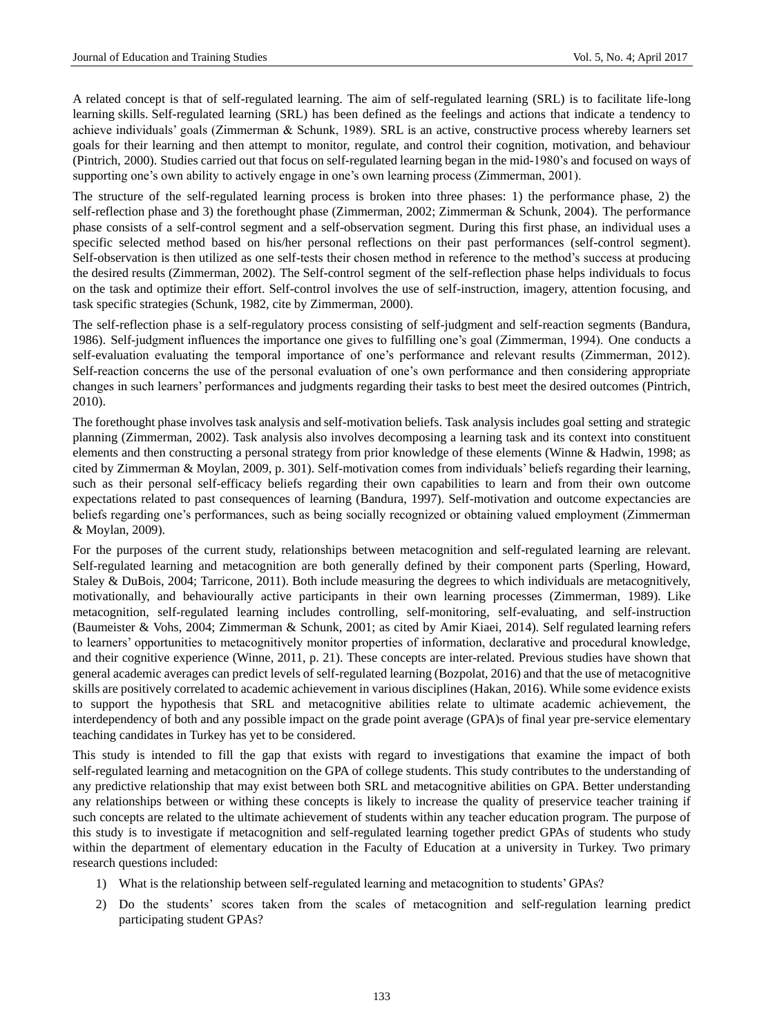A related concept is that of self-regulated learning. The aim of self-regulated learning (SRL) is to facilitate life-long learning skills. Self-regulated learning (SRL) has been defined as the feelings and actions that indicate a tendency to achieve individuals' goals (Zimmerman & Schunk, 1989). SRL is an active, constructive process whereby learners set goals for their learning and then attempt to monitor, regulate, and control their cognition, motivation, and behaviour (Pintrich, 2000). Studies carried out that focus on self-regulated learning began in the mid-1980's and focused on ways of supporting one's own ability to actively engage in one's own learning process (Zimmerman, 2001).

The structure of the self-regulated learning process is broken into three phases: 1) the performance phase, 2) the self-reflection phase and 3) the forethought phase (Zimmerman, 2002; Zimmerman & Schunk, 2004). The performance phase consists of a self-control segment and a self-observation segment. During this first phase, an individual uses a specific selected method based on his/her personal reflections on their past performances (self-control segment). Self-observation is then utilized as one self-tests their chosen method in reference to the method's success at producing the desired results (Zimmerman, 2002). The Self-control segment of the self-reflection phase helps individuals to focus on the task and optimize their effort. Self-control involves the use of self-instruction, imagery, attention focusing, and task specific strategies (Schunk, 1982, cite by Zimmerman, 2000).

The self-reflection phase is a self-regulatory process consisting of self-judgment and self-reaction segments (Bandura, 1986). Self-judgment influences the importance one gives to fulfilling one's goal (Zimmerman, 1994). One conducts a self-evaluation evaluating the temporal importance of one's performance and relevant results (Zimmerman, 2012). Self-reaction concerns the use of the personal evaluation of one's own performance and then considering appropriate changes in such learners' performances and judgments regarding their tasks to best meet the desired outcomes (Pintrich, 2010).

The forethought phase involves task analysis and self-motivation beliefs. Task analysis includes goal setting and strategic planning (Zimmerman, 2002). Task analysis also involves decomposing a learning task and its context into constituent elements and then constructing a personal strategy from prior knowledge of these elements (Winne & Hadwin, 1998; as cited by Zimmerman & Moylan, 2009, p. 301). Self-motivation comes from individuals' beliefs regarding their learning, such as their personal self-efficacy beliefs regarding their own capabilities to learn and from their own outcome expectations related to past consequences of learning (Bandura, 1997). Self-motivation and outcome expectancies are beliefs regarding one's performances, such as being socially recognized or obtaining valued employment (Zimmerman & Moylan, 2009).

For the purposes of the current study, relationships between metacognition and self-regulated learning are relevant. Self-regulated learning and metacognition are both generally defined by their component parts (Sperling, Howard, Staley & DuBois, 2004; Tarricone, 2011). Both include measuring the degrees to which individuals are metacognitively, motivationally, and behaviourally active participants in their own learning processes (Zimmerman, 1989). Like metacognition, self-regulated learning includes controlling, self-monitoring, self-evaluating, and self-instruction (Baumeister & Vohs, 2004; Zimmerman & Schunk, 2001; as cited by Amir Kiaei, 2014). Self regulated learning refers to learners' opportunities to metacognitively monitor properties of information, declarative and procedural knowledge, and their cognitive experience (Winne, 2011, p. 21). These concepts are inter-related. Previous studies have shown that general academic averages can predict levels of self-regulated learning (Bozpolat, 2016) and that the use of metacognitive skills are positively correlated to academic achievement in various disciplines (Hakan, 2016). While some evidence exists to support the hypothesis that SRL and metacognitive abilities relate to ultimate academic achievement, the interdependency of both and any possible impact on the grade point average (GPA)s of final year pre-service elementary teaching candidates in Turkey has yet to be considered.

This study is intended to fill the gap that exists with regard to investigations that examine the impact of both self-regulated learning and metacognition on the GPA of college students. This study contributes to the understanding of any predictive relationship that may exist between both SRL and metacognitive abilities on GPA. Better understanding any relationships between or withing these concepts is likely to increase the quality of preservice teacher training if such concepts are related to the ultimate achievement of students within any teacher education program. The purpose of this study is to investigate if metacognition and self-regulated learning together predict GPAs of students who study within the department of elementary education in the Faculty of Education at a university in Turkey. Two primary research questions included:

- 1) What is the relationship between self-regulated learning and metacognition to students' GPAs?
- 2) Do the students' scores taken from the scales of metacognition and self-regulation learning predict participating student GPAs?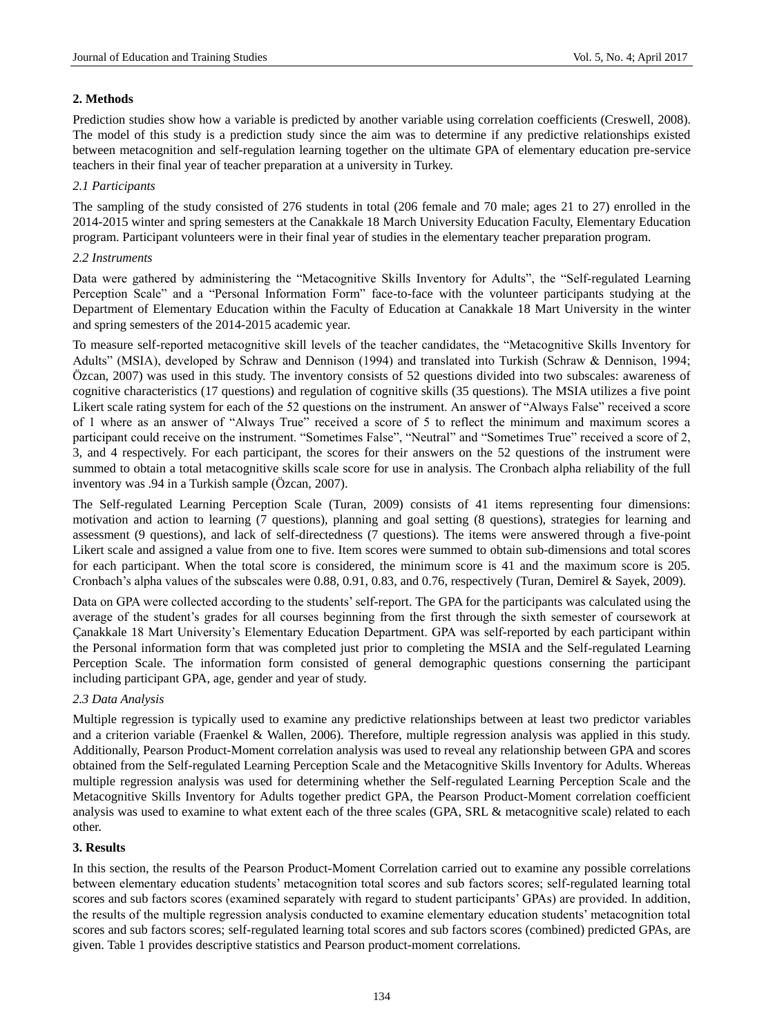## **2. Methods**

Prediction studies show how a variable is predicted by another variable using correlation coefficients (Creswell, 2008). The model of this study is a prediction study since the aim was to determine if any predictive relationships existed between metacognition and self-regulation learning together on the ultimate GPA of elementary education pre-service teachers in their final year of teacher preparation at a university in Turkey.

## *2.1 Participants*

The sampling of the study consisted of 276 students in total (206 female and 70 male; ages 21 to 27) enrolled in the 2014-2015 winter and spring semesters at the Canakkale 18 March University Education Faculty, Elementary Education program. Participant volunteers were in their final year of studies in the elementary teacher preparation program.

## *2.2 Instruments*

Data were gathered by administering the "Metacognitive Skills Inventory for Adults", the "Self-regulated Learning Perception Scale" and a "Personal Information Form" face-to-face with the volunteer participants studying at the Department of Elementary Education within the Faculty of Education at Canakkale 18 Mart University in the winter and spring semesters of the 2014-2015 academic year.

To measure self-reported metacognitive skill levels of the teacher candidates, the "Metacognitive Skills Inventory for Adults" (MSIA), developed by Schraw and Dennison (1994) and translated into Turkish (Schraw & Dennison, 1994; Özcan, 2007) was used in this study. The inventory consists of 52 questions divided into two subscales: awareness of cognitive characteristics (17 questions) and regulation of cognitive skills (35 questions). The MSIA utilizes a five point Likert scale rating system for each of the 52 questions on the instrument. An answer of "Always False" received a score of 1 where as an answer of "Always True" received a score of 5 to reflect the minimum and maximum scores a participant could receive on the instrument. "Sometimes False", "Neutral" and "Sometimes True" received a score of 2, 3, and 4 respectively. For each participant, the scores for their answers on the 52 questions of the instrument were summed to obtain a total metacognitive skills scale score for use in analysis. The Cronbach alpha reliability of the full inventory was .94 in a Turkish sample (Özcan, 2007).

The Self-regulated Learning Perception Scale (Turan, 2009) consists of 41 items representing four dimensions: motivation and action to learning (7 questions), planning and goal setting (8 questions), strategies for learning and assessment (9 questions), and lack of self-directedness (7 questions). The items were answered through a five-point Likert scale and assigned a value from one to five. Item scores were summed to obtain sub-dimensions and total scores for each participant. When the total score is considered, the minimum score is 41 and the maximum score is 205. Cronbach's alpha values of the subscales were 0.88, 0.91, 0.83, and 0.76, respectively (Turan, Demirel & Sayek, 2009).

Data on GPA were collected according to the students' self-report. The GPA for the participants was calculated using the average of the student's grades for all courses beginning from the first through the sixth semester of coursework at Çanakkale 18 Mart University's Elementary Education Department. GPA was self-reported by each participant within the Personal information form that was completed just prior to completing the MSIA and the Self-regulated Learning Perception Scale. The information form consisted of general demographic questions conserning the participant including participant GPA, age, gender and year of study.

## *2.3 Data Analysis*

Multiple regression is typically used to examine any predictive relationships between at least two predictor variables and a criterion variable (Fraenkel & Wallen, 2006). Therefore, multiple regression analysis was applied in this study. Additionally, Pearson Product-Moment correlation analysis was used to reveal any relationship between GPA and scores obtained from the Self-regulated Learning Perception Scale and the Metacognitive Skills Inventory for Adults. Whereas multiple regression analysis was used for determining whether the Self-regulated Learning Perception Scale and the Metacognitive Skills Inventory for Adults together predict GPA, the Pearson Product-Moment correlation coefficient analysis was used to examine to what extent each of the three scales (GPA, SRL & metacognitive scale) related to each other.

## **3. Results**

In this section, the results of the Pearson Product-Moment Correlation carried out to examine any possible correlations between elementary education students' metacognition total scores and sub factors scores; self-regulated learning total scores and sub factors scores (examined separately with regard to student participants' GPAs) are provided. In addition, the results of the multiple regression analysis conducted to examine elementary education students' metacognition total scores and sub factors scores; self-regulated learning total scores and sub factors scores (combined) predicted GPAs, are given. Table 1 provides descriptive statistics and Pearson product-moment correlations.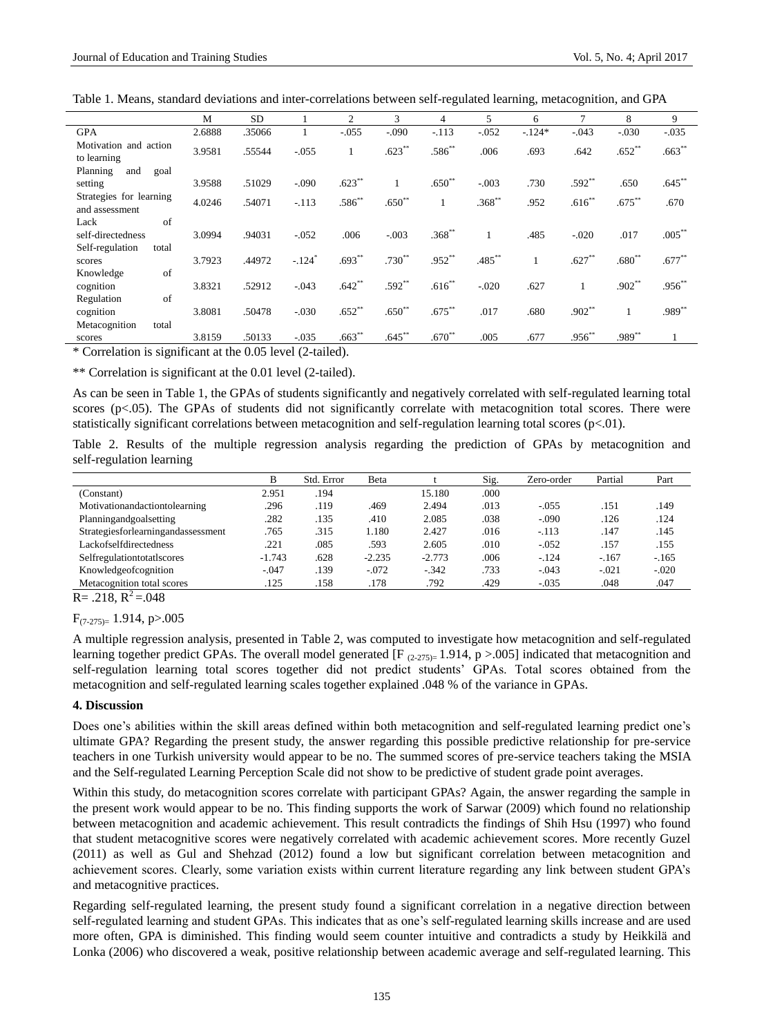Table 1. Means, standard deviations and inter-correlations between self-regulated learning, metacognition, and GPA

|                                           | M      | <b>SD</b> |                      | $\overline{2}$ | 3         | 4           | 5         | 6        |          | 8         | 9           |
|-------------------------------------------|--------|-----------|----------------------|----------------|-----------|-------------|-----------|----------|----------|-----------|-------------|
| <b>GPA</b>                                | 2.6888 | .35066    |                      | $-.055$        | $-.090$   | $-.113$     | $-.052$   | $-.124*$ | $-.043$  | $-.030$   | $-.035$     |
| Motivation and action<br>to learning      | 3.9581 | .55544    | $-.055$              |                | $.623**$  | $.586^{**}$ | .006      | .693     | .642     | $.652**$  | $.663**$    |
| Planning<br>and<br>goal                   |        |           |                      |                |           |             |           |          |          |           |             |
| setting                                   | 3.9588 | .51029    | $-.090$              | $.623**$       |           | $.650**$    | $-.003$   | .730     | $.592**$ | .650      | $.645***$   |
| Strategies for learning<br>and assessment | 4.0246 | .54071    | $-.113$              | $.586^{**}$    | $.650**$  |             | $.368**$  | .952     | $.616**$ | $.675***$ | .670        |
| of<br>Lack                                |        |           |                      |                |           |             |           |          |          |           |             |
| self-directedness                         | 3.0994 | .94031    | $-0.052$             | .006           | $-.003$   | $.368^{**}$ |           | .485     | $-.020$  | .017      | $.005***$   |
| Self-regulation<br>total                  |        |           |                      |                |           |             |           |          |          |           |             |
| scores                                    | 3.7923 | .44972    | $-.124$ <sup>*</sup> | $.693**$       | $.730**$  | $.952**$    | $.485***$ |          | $.627**$ | $.680**$  | $.677**$    |
| of<br>Knowledge                           |        |           |                      |                |           |             |           |          |          |           |             |
| cognition                                 | 3.8321 | .52912    | $-.043$              | $.642**$       | $.592**$  | $.616**$    | $-.020$   | .627     |          | $.902**$  | $.956^{**}$ |
| of<br>Regulation                          |        |           |                      |                |           |             |           |          |          |           |             |
| cognition                                 | 3.8081 | .50478    | $-.030$              | $.652**$       | $.650**$  | $.675***$   | .017      | .680     | $.902**$ |           | .989**      |
| Metacognition<br>total                    |        |           |                      |                |           |             |           |          |          |           |             |
| scores                                    | 3.8159 | .50133    | $-.035$              | $.663**$       | $.645***$ | $.670**$    | .005      | .677     | $.956**$ | $.989**$  |             |

\* Correlation is significant at the 0.05 level (2-tailed).

\*\* Correlation is significant at the 0.01 level (2-tailed).

As can be seen in Table 1, the GPAs of students significantly and negatively correlated with self-regulated learning total scores (p<.05). The GPAs of students did not significantly correlate with metacognition total scores. There were statistically significant correlations between metacognition and self-regulation learning total scores ( $p<.01$ ).

Table 2. Results of the multiple regression analysis regarding the prediction of GPAs by metacognition and self-regulation learning

|                                    | B        | Std. Error | Beta     |          | Sig. | Zero-order | Partial | Part    |
|------------------------------------|----------|------------|----------|----------|------|------------|---------|---------|
| (Constant)                         | 2.951    | .194       |          | 15.180   | .000 |            |         |         |
| Motivationandactiontolearning      | .296     | .119       | .469     | 2.494    | .013 | $-.055$    | .151    | .149    |
| Planningandgoalsetting             | .282     | .135       | .410     | 2.085    | .038 | $-.090$    | .126    | .124    |
| Strategiesforlearningandassessment | .765     | .315       | 1.180    | 2.427    | .016 | $-.113$    | .147    | .145    |
| Lackofselfdirectedness             | .221     | .085       | .593     | 2.605    | .010 | $-.052$    | .157    | .155    |
| Selfregulationtotatlscores         | $-1.743$ | .628       | $-2.235$ | $-2.773$ | .006 | $-.124$    | $-.167$ | $-165$  |
| Knowledgeofcognition               | $-.047$  | .139       | $-.072$  | $-.342$  | .733 | $-.043$    | $-.021$ | $-.020$ |
| Metacognition total scores         | .125     | .158       | .178     | .792     | .429 | $-.035$    | .048    | .047    |

 $R = .218$ ,  $R^2 = .048$ 

 $F_{(7-275)=}$  1.914, p>.005

A multiple regression analysis, presented in Table 2, was computed to investigate how metacognition and self-regulated learning together predict GPAs. The overall model generated [F  $_{(2-275)=}$  1.914, p >.005] indicated that metacognition and self-regulation learning total scores together did not predict students' GPAs. Total scores obtained from the metacognition and self-regulated learning scales together explained .048 % of the variance in GPAs.

#### **4. Discussion**

Does one's abilities within the skill areas defined within both metacognition and self-regulated learning predict one's ultimate GPA? Regarding the present study, the answer regarding this possible predictive relationship for pre-service teachers in one Turkish university would appear to be no. The summed scores of pre-service teachers taking the MSIA and the Self-regulated Learning Perception Scale did not show to be predictive of student grade point averages.

Within this study, do metacognition scores correlate with participant GPAs? Again, the answer regarding the sample in the present work would appear to be no. This finding supports the work of Sarwar (2009) which found no relationship between metacognition and academic achievement. This result contradicts the findings of Shih Hsu (1997) who found that student metacognitive scores were negatively correlated with academic achievement scores. More recently Guzel (2011) as well as Gul and Shehzad (2012) found a low but significant correlation between metacognition and achievement scores. Clearly, some variation exists within current literature regarding any link between student GPA's and metacognitive practices.

Regarding self-regulated learning, the present study found a significant correlation in a negative direction between self-regulated learning and student GPAs. This indicates that as one's self-regulated learning skills increase and are used more often, GPA is diminished. This finding would seem counter intuitive and contradicts a study by Heikkiläand Lonka (2006) who discovered a weak, positive relationship between academic average and self-regulated learning. This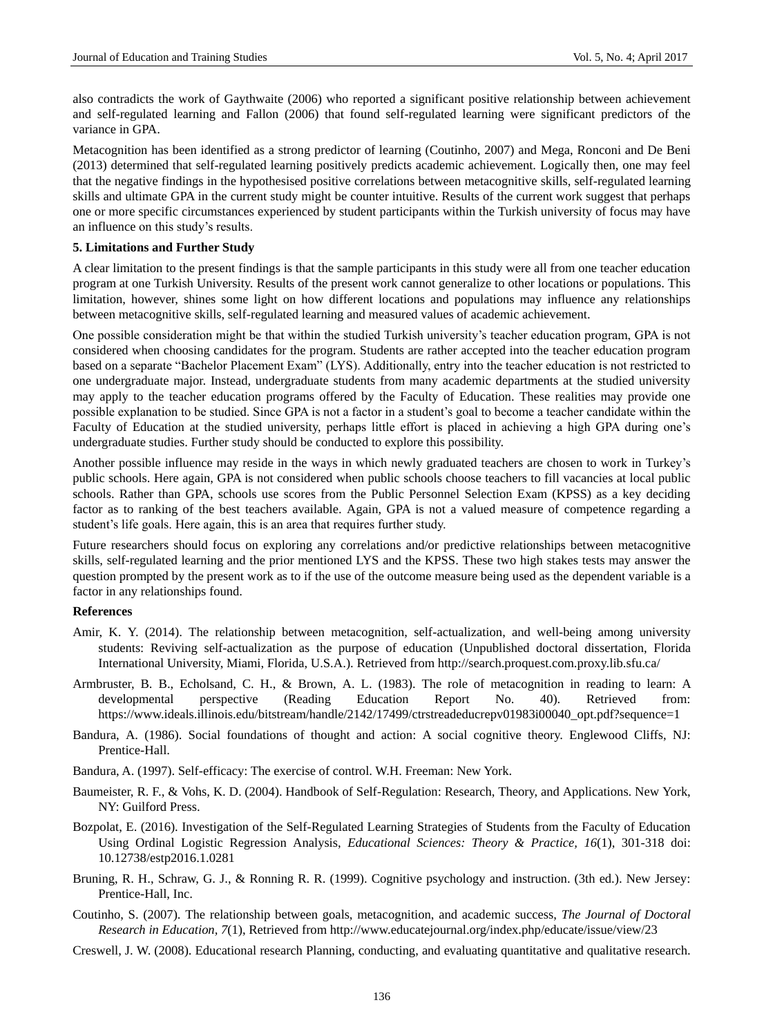also contradicts the work of Gaythwaite (2006) who reported a significant positive relationship between achievement and self-regulated learning and Fallon (2006) that found self-regulated learning were significant predictors of the variance in GPA.

Metacognition has been identified as a strong predictor of learning (Coutinho, 2007) and Mega, Ronconi and De Beni (2013) determined that self-regulated learning positively predicts academic achievement. Logically then, one may feel that the negative findings in the hypothesised positive correlations between metacognitive skills, self-regulated learning skills and ultimate GPA in the current study might be counter intuitive. Results of the current work suggest that perhaps one or more specific circumstances experienced by student participants within the Turkish university of focus may have an influence on this study's results.

#### **5. Limitations and Further Study**

A clear limitation to the present findings is that the sample participants in this study were all from one teacher education program at one Turkish University. Results of the present work cannot generalize to other locations or populations. This limitation, however, shines some light on how different locations and populations may influence any relationships between metacognitive skills, self-regulated learning and measured values of academic achievement.

One possible consideration might be that within the studied Turkish university's teacher education program, GPA is not considered when choosing candidates for the program. Students are rather accepted into the teacher education program based on a separate "Bachelor Placement Exam" (LYS). Additionally, entry into the teacher education is not restricted to one undergraduate major. Instead, undergraduate students from many academic departments at the studied university may apply to the teacher education programs offered by the Faculty of Education. These realities may provide one possible explanation to be studied. Since GPA is not a factor in a student's goal to become a teacher candidate within the Faculty of Education at the studied university, perhaps little effort is placed in achieving a high GPA during one's undergraduate studies. Further study should be conducted to explore this possibility.

Another possible influence may reside in the ways in which newly graduated teachers are chosen to work in Turkey's public schools. Here again, GPA is not considered when public schools choose teachers to fill vacancies at local public schools. Rather than GPA, schools use scores from the Public Personnel Selection Exam (KPSS) as a key deciding factor as to ranking of the best teachers available. Again, GPA is not a valued measure of competence regarding a student's life goals. Here again, this is an area that requires further study.

Future researchers should focus on exploring any correlations and/or predictive relationships between metacognitive skills, self-regulated learning and the prior mentioned LYS and the KPSS. These two high stakes tests may answer the question prompted by the present work as to if the use of the outcome measure being used as the dependent variable is a factor in any relationships found.

## **References**

- Amir, K. Y. (2014). The relationship between metacognition, self-actualization, and well-being among university students: Reviving self-actualization as the purpose of education (Unpublished doctoral dissertation, Florida International University, Miami, Florida, U.S.A.). Retrieved from http://search.proquest.com.proxy.lib.sfu.ca/
- Armbruster, B. B., Echolsand, C. H., & Brown, A. L. (1983). The role of metacognition in reading to learn: A developmental perspective (Reading Education Report No. 40). Retrieved from: https://www.ideals.illinois.edu/bitstream/handle/2142/17499/ctrstreadeducrepv01983i00040\_opt.pdf?sequence=1
- Bandura, A. (1986). Social foundations of thought and action: A social cognitive theory. Englewood Cliffs, NJ: Prentice-Hall.
- Bandura, A. (1997). Self-efficacy: The exercise of control. W.H. Freeman: New York.
- Baumeister, R. F., & Vohs, K. D. (2004). Handbook of Self-Regulation: Research, Theory, and Applications. New York, NY: Guilford Press.
- Bozpolat, E. (2016). Investigation of the Self-Regulated Learning Strategies of Students from the Faculty of Education Using Ordinal Logistic Regression Analysis, *Educational Sciences: Theory & Practice, 16*(1), 301-318 doi: 10.12738/estp2016.1.0281
- Bruning, R. H., Schraw, G. J., & Ronning R. R. (1999). Cognitive psychology and instruction. (3th ed.). New Jersey: Prentice-Hall, Inc.
- Coutinho, S. (2007). The relationship between goals, metacognition, and academic success, *The Journal of Doctoral Research in Education, 7*(1), Retrieved from http://www.educatejournal.org/index.php/educate/issue/view/23
- Creswell, J. W. (2008). Educational research Planning, conducting, and evaluating quantitative and qualitative research.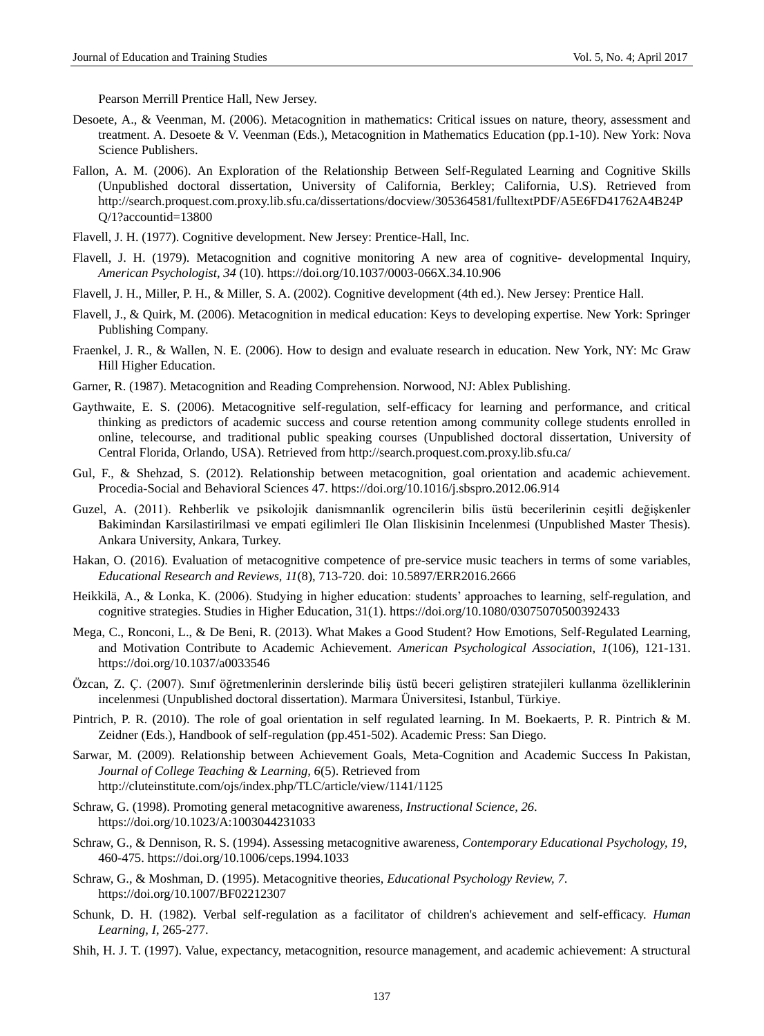Pearson Merrill Prentice Hall, New Jersey.

- Desoete, A., & Veenman, M. (2006). Metacognition in mathematics: Critical issues on nature, theory, assessment and treatment. A. Desoete & V. Veenman (Eds.), Metacognition in Mathematics Education (pp.1-10). New York: Nova Science Publishers.
- Fallon, A. M. (2006). An Exploration of the Relationship Between Self-Regulated Learning and Cognitive Skills (Unpublished doctoral dissertation, University of California, Berkley; California, U.S). Retrieved from http://search.proquest.com.proxy.lib.sfu.ca/dissertations/docview/305364581/fulltextPDF/A5E6FD41762A4B24P Q/1?accountid=13800
- Flavell, J. H. (1977). Cognitive development. New Jersey: Prentice-Hall, Inc.
- Flavell, J. H. (1979). Metacognition and cognitive monitoring A new area of cognitive- developmental Inquiry, *American Psychologist, 34* (10).<https://doi.org/10.1037/0003-066X.34.10.906>
- Flavell, J. H., Miller, P. H., & Miller, S. A. (2002). Cognitive development (4th ed.). New Jersey: Prentice Hall.
- Flavell, J., & Quirk, M. (2006). Metacognition in medical education: Keys to developing expertise. New York: Springer Publishing Company.
- Fraenkel, J. R., & Wallen, N. E. (2006). How to design and evaluate research in education. New York, NY: Mc Graw Hill Higher Education.
- Garner, R. (1987). Metacognition and Reading Comprehension. Norwood, NJ: Ablex Publishing.
- Gaythwaite, E. S. (2006). Metacognitive self-regulation, self-efficacy for learning and performance, and critical thinking as predictors of academic success and course retention among community college students enrolled in online, telecourse, and traditional public speaking courses (Unpublished doctoral dissertation, University of Central Florida, Orlando, USA). Retrieved from http://search.proquest.com.proxy.lib.sfu.ca/
- Gul, F., & Shehzad, S. (2012). Relationship between metacognition, goal orientation and academic achievement. Procedia-Social and Behavioral Sciences 47. <https://doi.org/10.1016/j.sbspro.2012.06.914>
- Guzel, A. (2011). Rehberlik ve psikolojik danismnanlik ogrencilerin bilis üstü becerilerinin ceşitli değişkenler Bakimindan Karsilastirilmasi ve empati egilimleri Ile Olan Iliskisinin Incelenmesi (Unpublished Master Thesis). Ankara University, Ankara, Turkey.
- Hakan, O. (2016). Evaluation of metacognitive competence of pre-service music teachers in terms of some variables, *Educational Research and Reviews, 11*(8), 713-720. doi: 10.5897/ERR2016.2666
- Heikkilä, A., & Lonka, K. (2006). Studying in higher education: students' approaches to learning, self-regulation, and cognitive strategies. Studies in Higher Education, 31(1).<https://doi.org/10.1080/03075070500392433>
- Mega, C., Ronconi, L., & De Beni, R. (2013). What Makes a Good Student? How Emotions, Self-Regulated Learning, and Motivation Contribute to Academic Achievement. *American Psychological Association*, *1*(106), 121-131. <https://doi.org/10.1037/a0033546>
- Özcan, Z. Ç. (2007). Sınıf öğretmenlerinin derslerinde biliş üstü beceri geliştiren stratejileri kullanma özelliklerinin incelenmesi (Unpublished doctoral dissertation). Marmara Üniversitesi, Istanbul, Türkiye.
- Pintrich, P. R. (2010). The role of goal orientation in self regulated learning. In M. Boekaerts, P. R. Pintrich & M. Zeidner (Eds.), Handbook of self-regulation (pp.451-502). Academic Press: San Diego.
- Sarwar, M. (2009). Relationship between Achievement Goals, Meta-Cognition and Academic Success In Pakistan, *Journal of College Teaching & Learning, 6*(5). Retrieved from http://cluteinstitute.com/ojs/index.php/TLC/article/view/1141/1125
- Schraw, G. (1998). Promoting general metacognitive awareness, *Instructional Science, 26*. <https://doi.org/10.1023/A:1003044231033>
- Schraw, G., & Dennison, R. S. (1994). Assessing metacognitive awareness*, Contemporary Educational Psychology, 19*, 460-475. <https://doi.org/10.1006/ceps.1994.1033>
- Schraw, G., & Moshman, D. (1995). Metacognitive theories, *Educational Psychology Review, 7*. <https://doi.org/10.1007/BF02212307>
- Schunk, D. H. (1982). Verbal self-regulation as a facilitator of children's achievement and self-efficacy. *Human Learning, I*, 265-277.
- Shih, H. J. T. (1997). Value, expectancy, metacognition, resource management, and academic achievement: A structural